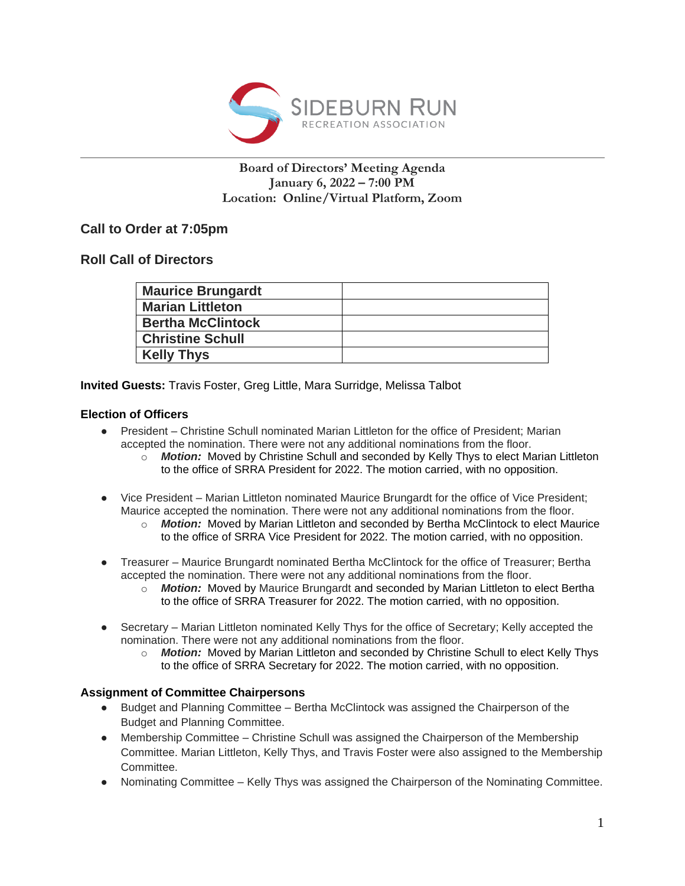

## **Board of Directors' Meeting Agenda January 6, 2022 – 7:00 PM Location: Online/Virtual Platform, Zoom**

# **Call to Order at 7:05pm**

# **Roll Call of Directors**

| <b>Maurice Brungardt</b> |  |
|--------------------------|--|
| <b>Marian Littleton</b>  |  |
| <b>Bertha McClintock</b> |  |
| <b>Christine Schull</b>  |  |
| <b>Kelly Thys</b>        |  |

**Invited Guests:** Travis Foster, Greg Little, Mara Surridge, Melissa Talbot

### **Election of Officers**

- President Christine Schull nominated Marian Littleton for the office of President; Marian accepted the nomination. There were not any additional nominations from the floor.
	- o *Motion:* Moved by Christine Schull and seconded by Kelly Thys to elect Marian Littleton to the office of SRRA President for 2022. The motion carried, with no opposition.
- Vice President Marian Littleton nominated Maurice Brungardt for the office of Vice President; Maurice accepted the nomination. There were not any additional nominations from the floor.
	- o *Motion:* Moved by Marian Littleton and seconded by Bertha McClintock to elect Maurice to the office of SRRA Vice President for 2022. The motion carried, with no opposition.
- Treasurer Maurice Brungardt nominated Bertha McClintock for the office of Treasurer; Bertha accepted the nomination. There were not any additional nominations from the floor.
	- o *Motion:* Moved by Maurice Brungardt and seconded by Marian Littleton to elect Bertha to the office of SRRA Treasurer for 2022. The motion carried, with no opposition.
- Secretary Marian Littleton nominated Kelly Thys for the office of Secretary; Kelly accepted the nomination. There were not any additional nominations from the floor.
	- o *Motion:* Moved by Marian Littleton and seconded by Christine Schull to elect Kelly Thys to the office of SRRA Secretary for 2022. The motion carried, with no opposition.

#### **Assignment of Committee Chairpersons**

- Budget and Planning Committee Bertha McClintock was assigned the Chairperson of the Budget and Planning Committee.
- Membership Committee Christine Schull was assigned the Chairperson of the Membership Committee. Marian Littleton, Kelly Thys, and Travis Foster were also assigned to the Membership Committee.
- Nominating Committee Kelly Thys was assigned the Chairperson of the Nominating Committee.